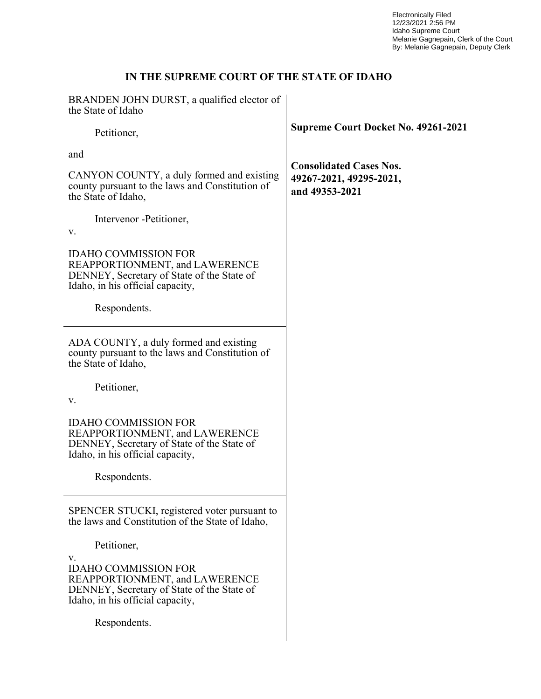Electronically Filed 12/23/2021 2:56 PM Idaho Supreme Court Melanie Gagnepain, Clerk of the Court By: Melanie Gagnepain, Deputy Clerk

# IN THE SUPREME COURT OF THE STATE OF IDAHO

| BRANDEN JOHN DURST, a qualified elector of<br>the State of Idaho                                                                                      |                                            |
|-------------------------------------------------------------------------------------------------------------------------------------------------------|--------------------------------------------|
| Petitioner,                                                                                                                                           | <b>Supreme Court Docket No. 49261-2021</b> |
| and                                                                                                                                                   | <b>Consolidated Cases Nos.</b>             |
| CANYON COUNTY, a duly formed and existing<br>county pursuant to the laws and Constitution of<br>the State of Idaho,                                   | 49267-2021, 49295-2021,<br>and 49353-2021  |
| Intervenor - Petitioner,<br>v.                                                                                                                        |                                            |
| <b>IDAHO COMMISSION FOR</b><br>REAPPORTIONMENT, and LAWERENCE<br>DENNEY, Secretary of State of the State of<br>Idaho, in his official capacity,       |                                            |
| Respondents.                                                                                                                                          |                                            |
| ADA COUNTY, a duly formed and existing<br>county pursuant to the laws and Constitution of<br>the State of Idaho,                                      |                                            |
| Petitioner,<br>V.                                                                                                                                     |                                            |
| <b>IDAHO COMMISSION FOR</b><br>REAPPORTIONMENT, and LAWERENCE<br>DENNEY, Secretary of State of the State of<br>Idaho, in his official capacity,       |                                            |
| Respondents.                                                                                                                                          |                                            |
| SPENCER STUCKI, registered voter pursuant to<br>the laws and Constitution of the State of Idaho,                                                      |                                            |
| Petitioner,                                                                                                                                           |                                            |
| V.<br><b>IDAHO COMMISSION FOR</b><br>REAPPORTIONMENT, and LAWERENCE<br>DENNEY, Secretary of State of the State of<br>Idaho, in his official capacity, |                                            |
| Respondents.                                                                                                                                          |                                            |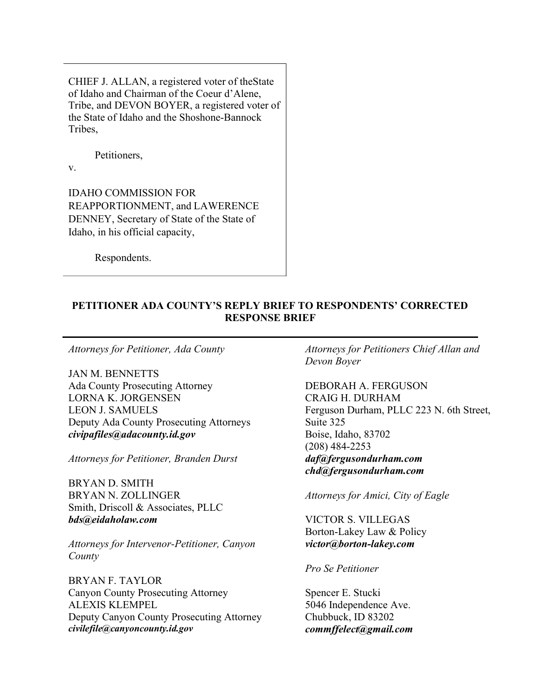CHIEF J. ALLAN, a registered voter of the State of Idaho and Chairman of the Coeur d'Alene, Tribe, and DEVON BOYER, a registered voter of the State of Idaho and the Shoshone-Bannock Tribes,

Petitioners,

v.

IDAHO COMMISSION FOR REAPPORTIONMENT, and LAWERENCE DENNEY, Secretary of State of the State of Idaho, in his official capacity,

Respondents.

### PETITIONER ADA COUNTY'S REPLY BRIEF TO RESPONDENTS' CORRECTED RESPONSE BRIEF

Attorneys for Petitioner, Ada County

JAN M. BENNETTS Ada County Prosecuting Attorney LORNA K. JORGENSEN LEON J. SAMUELS Deputy Ada County Prosecuting Attorneys civipafiles@adacounty.id.gov

Attorneys for Petitioner, Branden Durst

BRYAN D. SMITH BRYAN N. ZOLLINGER Smith, Driscoll & Associates, PLLC bds@eidaholaw.com

Attorneys for Intervenor-Petitioner, Canyon County

BRYAN F. TAYLOR Canyon County Prosecuting Attorney ALEXIS KLEMPEL Deputy Canyon County Prosecuting Attorney civilefile@canyoncounty.id.gov

Attorneys for Petitioners Chief Allan and Devon Boyer

DEBORAH A. FERGUSON CRAIG H. DURHAM Ferguson Durham, PLLC 223 N. 6th Street, Suite 325 Boise, Idaho, 83702 (208) 484-2253 daf@fergusondurham.com chd@fergusondurham.com

Attorneys for Amici, City of Eagle

VICTOR S. VILLEGAS Borton-Lakey Law & Policy victor@borton-lakey.com

### Pro Se Petitioner

Spencer E. Stucki 5046 Independence Ave. Chubbuck, ID 83202 commffelect@gmail.com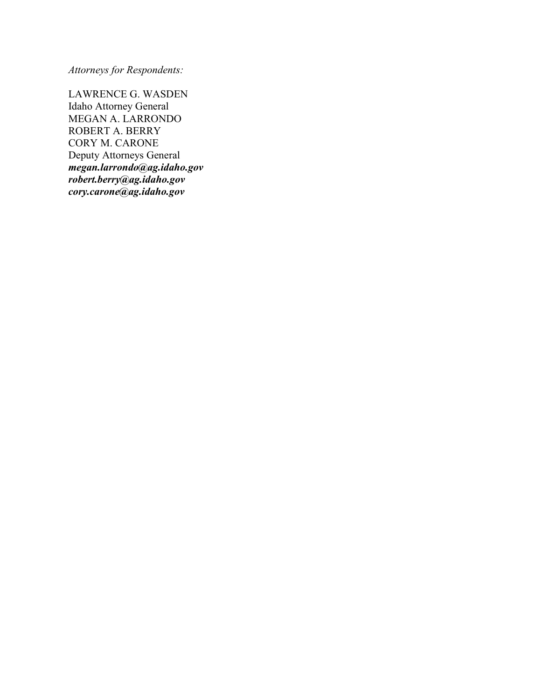Attorneys for Respondents:

LAWRENCE G. WASDEN Idaho Attorney General MEGAN A. LARRONDO ROBERT A. BERRY CORY M. CARONE Deputy Attorneys General megan.larrondo@ag.idaho.gov robert.berry@ag.idaho.gov cory.carone@ag.idaho.gov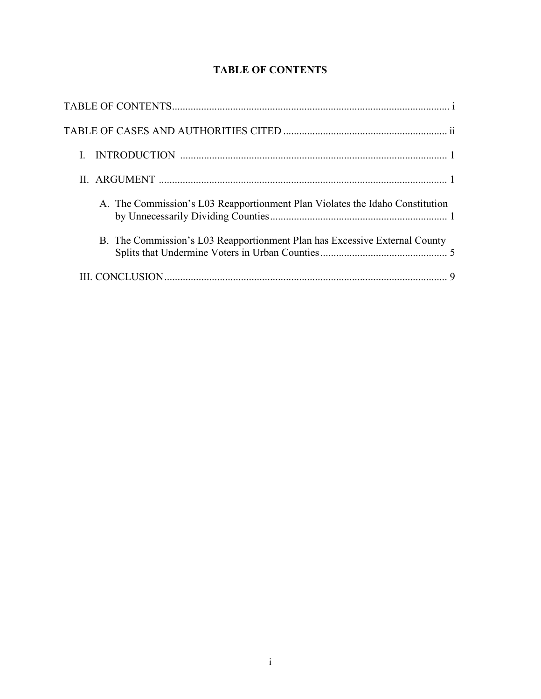| A. The Commission's L03 Reapportionment Plan Violates the Idaho Constitution |
|------------------------------------------------------------------------------|
| B. The Commission's L03 Reapportionment Plan has Excessive External County   |
|                                                                              |

# TABLE OF CONTENTS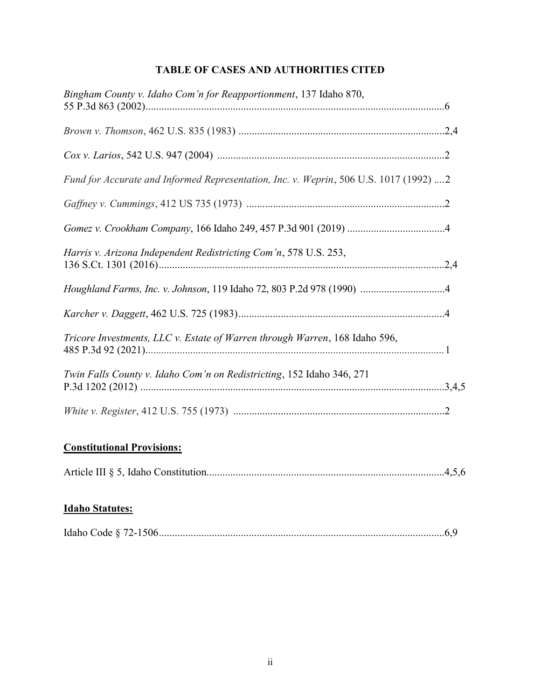# TABLE OF CASES AND AUTHORITIES CITED

| Bingham County v. Idaho Com'n for Reapportionment, 137 Idaho 870,                     |  |
|---------------------------------------------------------------------------------------|--|
|                                                                                       |  |
|                                                                                       |  |
| Fund for Accurate and Informed Representation, Inc. v. Weprin, 506 U.S. 1017 (1992) 2 |  |
|                                                                                       |  |
|                                                                                       |  |
| Harris v. Arizona Independent Redistricting Com'n, 578 U.S. 253,                      |  |
|                                                                                       |  |
|                                                                                       |  |
| Tricore Investments, LLC v. Estate of Warren through Warren, 168 Idaho 596,           |  |
| Twin Falls County v. Idaho Com'n on Redistricting, 152 Idaho 346, 271                 |  |
|                                                                                       |  |

## Constitutional Provisions:

|--|--|

# Idaho Statutes:

|--|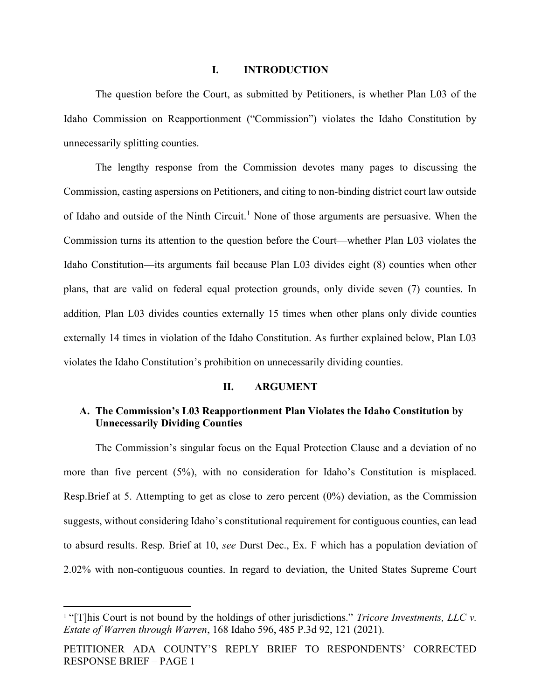#### I. INTRODUCTION

The question before the Court, as submitted by Petitioners, is whether Plan L03 of the Idaho Commission on Reapportionment ("Commission") violates the Idaho Constitution by unnecessarily splitting counties.

The lengthy response from the Commission devotes many pages to discussing the Commission, casting aspersions on Petitioners, and citing to non-binding district court law outside of Idaho and outside of the Ninth Circuit.<sup>1</sup> None of those arguments are persuasive. When the Commission turns its attention to the question before the Court—whether Plan L03 violates the Idaho Constitution—its arguments fail because Plan L03 divides eight (8) counties when other plans, that are valid on federal equal protection grounds, only divide seven (7) counties. In addition, Plan L03 divides counties externally 15 times when other plans only divide counties externally 14 times in violation of the Idaho Constitution. As further explained below, Plan L03 violates the Idaho Constitution's prohibition on unnecessarily dividing counties.

#### II. ARGUMENT

### A. The Commission's L03 Reapportionment Plan Violates the Idaho Constitution by Unnecessarily Dividing Counties

The Commission's singular focus on the Equal Protection Clause and a deviation of no more than five percent (5%), with no consideration for Idaho's Constitution is misplaced. Resp.Brief at 5. Attempting to get as close to zero percent (0%) deviation, as the Commission suggests, without considering Idaho's constitutional requirement for contiguous counties, can lead to absurd results. Resp. Brief at 10, see Durst Dec., Ex. F which has a population deviation of 2.02% with non-contiguous counties. In regard to deviation, the United States Supreme Court

<sup>&</sup>lt;sup>1</sup> "[T]his Court is not bound by the holdings of other jurisdictions." *Tricore Investments, LLC v.* Estate of Warren through Warren, 168 Idaho 596, 485 P.3d 92, 121 (2021).

PETITIONER ADA COUNTY'S REPLY BRIEF TO RESPONDENTS' CORRECTED RESPONSE BRIEF – PAGE 1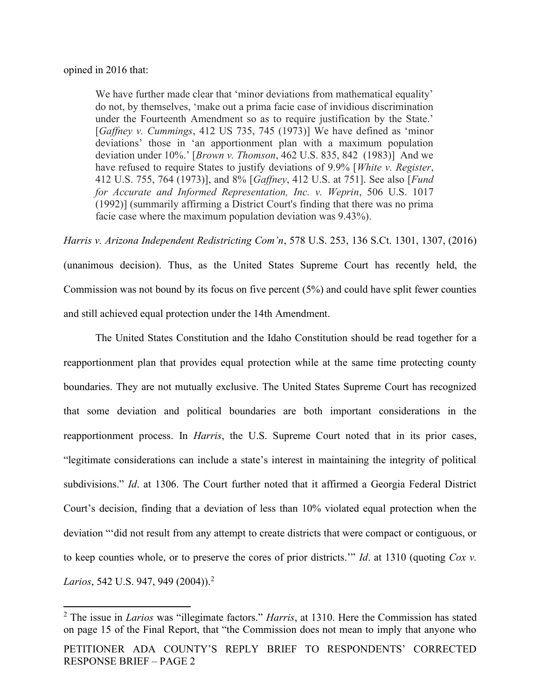#### opined in 2016 that:

We have further made clear that 'minor deviations from mathematical equality' do not, by themselves, 'make out a prima facie case of invidious discrimination under the Fourteenth Amendment so as to require justification by the State.' [Gaffney v. Cummings, 412 US 735, 745 (1973)] We have defined as 'minor deviations' those in 'an apportionment plan with a maximum population deviation under 10%.' [Brown v. Thomson, 462 U.S. 835, 842 (1983)] And we have refused to require States to justify deviations of 9.9% [White v. Register, 412 U.S. 755, 764 (1973)], and 8% [Gaffney, 412 U.S. at 751]. See also [Fund for Accurate and Informed Representation, Inc. v. Weprin, 506 U.S. 1017 (1992)] (summarily affirming a District Court's finding that there was no prima facie case where the maximum population deviation was 9.43%).

Harris v. Arizona Independent Redistricting Com'n, 578 U.S. 253, 136 S.Ct. 1301, 1307, (2016) (unanimous decision). Thus, as the United States Supreme Court has recently held, the Commission was not bound by its focus on five percent (5%) and could have split fewer counties and still achieved equal protection under the 14th Amendment.

The United States Constitution and the Idaho Constitution should be read together for a reapportionment plan that provides equal protection while at the same time protecting county boundaries. They are not mutually exclusive. The United States Supreme Court has recognized that some deviation and political boundaries are both important considerations in the reapportionment process. In *Harris*, the U.S. Supreme Court noted that in its prior cases, "legitimate considerations can include a state's interest in maintaining the integrity of political subdivisions." Id. at 1306. The Court further noted that it affirmed a Georgia Federal District Court's decision, finding that a deviation of less than 10% violated equal protection when the deviation "'did not result from any attempt to create districts that were compact or contiguous, or to keep counties whole, or to preserve the cores of prior districts." Id. at 1310 (quoting  $Cox$  v. *Larios*, 542 U.S. 947, 949 (2004)).<sup>2</sup>

<sup>&</sup>lt;sup>2</sup> The issue in *Larios* was "illegimate factors." *Harris*, at 1310. Here the Commission has stated on page 15 of the Final Report, that "the Commission does not mean to imply that anyone who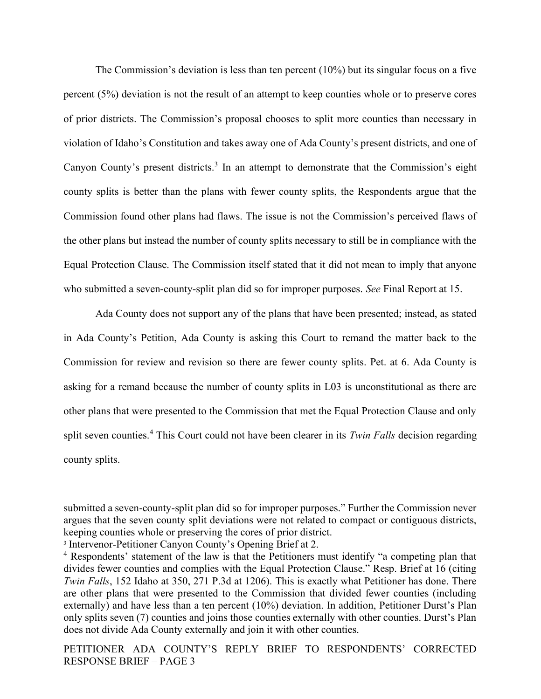The Commission's deviation is less than ten percent (10%) but its singular focus on a five percent (5%) deviation is not the result of an attempt to keep counties whole or to preserve cores of prior districts. The Commission's proposal chooses to split more counties than necessary in violation of Idaho's Constitution and takes away one of Ada County's present districts, and one of Canyon County's present districts.<sup>3</sup> In an attempt to demonstrate that the Commission's eight county splits is better than the plans with fewer county splits, the Respondents argue that the Commission found other plans had flaws. The issue is not the Commission's perceived flaws of the other plans but instead the number of county splits necessary to still be in compliance with the Equal Protection Clause. The Commission itself stated that it did not mean to imply that anyone who submitted a seven-county-split plan did so for improper purposes. See Final Report at 15.

Ada County does not support any of the plans that have been presented; instead, as stated in Ada County's Petition, Ada County is asking this Court to remand the matter back to the Commission for review and revision so there are fewer county splits. Pet. at 6. Ada County is asking for a remand because the number of county splits in L03 is unconstitutional as there are other plans that were presented to the Commission that met the Equal Protection Clause and only split seven counties.<sup>4</sup> This Court could not have been clearer in its Twin Falls decision regarding county splits.

submitted a seven-county-split plan did so for improper purposes." Further the Commission never argues that the seven county split deviations were not related to compact or contiguous districts, keeping counties whole or preserving the cores of prior district.

<sup>3</sup> Intervenor-Petitioner Canyon County's Opening Brief at 2.

<sup>&</sup>lt;sup>4</sup> Respondents' statement of the law is that the Petitioners must identify "a competing plan that divides fewer counties and complies with the Equal Protection Clause." Resp. Brief at 16 (citing Twin Falls, 152 Idaho at 350, 271 P.3d at 1206). This is exactly what Petitioner has done. There are other plans that were presented to the Commission that divided fewer counties (including externally) and have less than a ten percent (10%) deviation. In addition, Petitioner Durst's Plan only splits seven (7) counties and joins those counties externally with other counties. Durst's Plan does not divide Ada County externally and join it with other counties.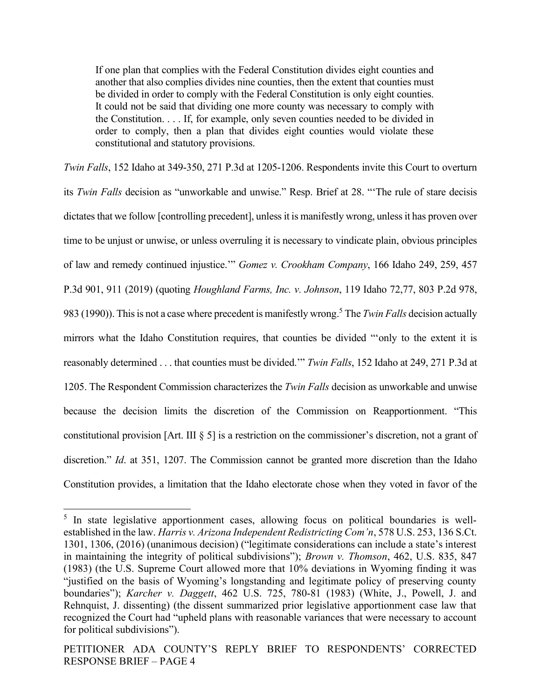If one plan that complies with the Federal Constitution divides eight counties and another that also complies divides nine counties, then the extent that counties must be divided in order to comply with the Federal Constitution is only eight counties. It could not be said that dividing one more county was necessary to comply with the Constitution. . . . If, for example, only seven counties needed to be divided in order to comply, then a plan that divides eight counties would violate these constitutional and statutory provisions.

Twin Falls, 152 Idaho at 349-350, 271 P.3d at 1205-1206. Respondents invite this Court to overturn its Twin Falls decision as "unworkable and unwise." Resp. Brief at 28. "'The rule of stare decisis dictates that we follow [controlling precedent], unless it is manifestly wrong, unless it has proven over time to be unjust or unwise, or unless overruling it is necessary to vindicate plain, obvious principles of law and remedy continued injustice.'" Gomez v. Crookham Company, 166 Idaho 249, 259, 457 P.3d 901, 911 (2019) (quoting Houghland Farms, Inc. v. Johnson, 119 Idaho 72,77, 803 P.2d 978, 983 (1990)). This is not a case where precedent is manifestly wrong.<sup>5</sup> The Twin Falls decision actually mirrors what the Idaho Constitution requires, that counties be divided "'only to the extent it is reasonably determined . . . that counties must be divided." Twin Falls, 152 Idaho at 249, 271 P.3d at 1205. The Respondent Commission characterizes the *Twin Falls* decision as unworkable and unwise because the decision limits the discretion of the Commission on Reapportionment. "This constitutional provision [Art. III § 5] is a restriction on the commissioner's discretion, not a grant of discretion." *Id.* at 351, 1207. The Commission cannot be granted more discretion than the Idaho Constitution provides, a limitation that the Idaho electorate chose when they voted in favor of the

<sup>&</sup>lt;sup>5</sup> In state legislative apportionment cases, allowing focus on political boundaries is wellestablished in the law. Harris v. Arizona Independent Redistricting Com'n, 578 U.S. 253, 136 S.Ct. 1301, 1306, (2016) (unanimous decision) ("legitimate considerations can include a state's interest in maintaining the integrity of political subdivisions"); Brown v. Thomson, 462, U.S. 835, 847 (1983) (the U.S. Supreme Court allowed more that 10% deviations in Wyoming finding it was "justified on the basis of Wyoming's longstanding and legitimate policy of preserving county boundaries"); *Karcher v. Daggett*, 462 U.S. 725, 780-81 (1983) (White, J., Powell, J. and Rehnquist, J. dissenting) (the dissent summarized prior legislative apportionment case law that recognized the Court had "upheld plans with reasonable variances that were necessary to account for political subdivisions").

PETITIONER ADA COUNTY'S REPLY BRIEF TO RESPONDENTS' CORRECTED RESPONSE BRIEF – PAGE 4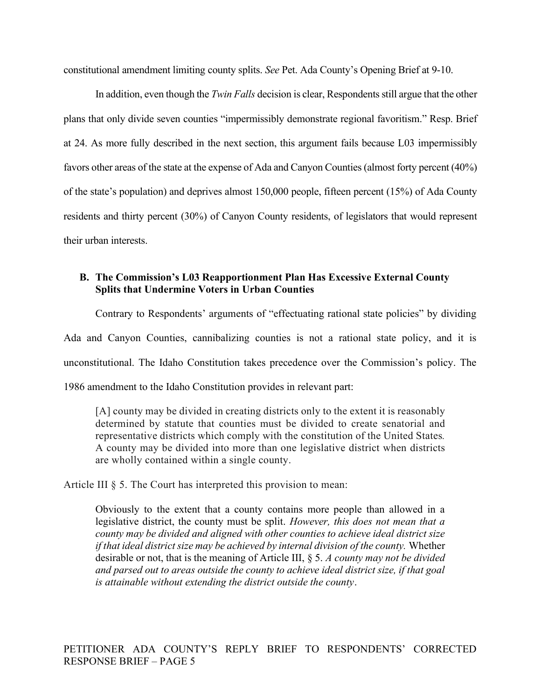constitutional amendment limiting county splits. See Pet. Ada County's Opening Brief at 9-10.

In addition, even though the *Twin Falls* decision is clear, Respondents still argue that the other plans that only divide seven counties "impermissibly demonstrate regional favoritism." Resp. Brief at 24. As more fully described in the next section, this argument fails because L03 impermissibly favors other areas of the state at the expense of Ada and Canyon Counties (almost forty percent (40%) of the state's population) and deprives almost 150,000 people, fifteen percent (15%) of Ada County residents and thirty percent (30%) of Canyon County residents, of legislators that would represent their urban interests.

### B. The Commission's L03 Reapportionment Plan Has Excessive External County Splits that Undermine Voters in Urban Counties

Contrary to Respondents' arguments of "effectuating rational state policies" by dividing Ada and Canyon Counties, cannibalizing counties is not a rational state policy, and it is unconstitutional. The Idaho Constitution takes precedence over the Commission's policy. The 1986 amendment to the Idaho Constitution provides in relevant part:

[A] county may be divided in creating districts only to the extent it is reasonably determined by statute that counties must be divided to create senatorial and representative districts which comply with the constitution of the United States. A county may be divided into more than one legislative district when districts are wholly contained within a single county.

Article III § 5. The Court has interpreted this provision to mean:

Obviously to the extent that a county contains more people than allowed in a legislative district, the county must be split. However, this does not mean that a county may be divided and aligned with other counties to achieve ideal district size if that ideal district size may be achieved by internal division of the county. Whether desirable or not, that is the meaning of Article III, § 5. A county may not be divided and parsed out to areas outside the county to achieve ideal district size, if that goal is attainable without extending the district outside the county.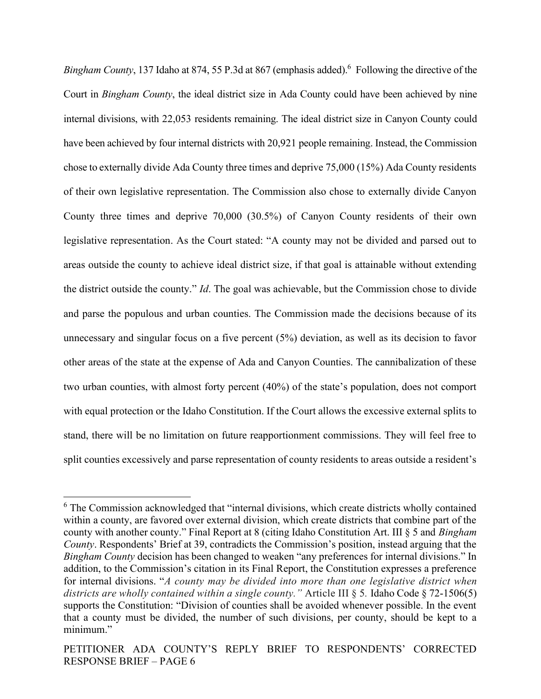Bingham County, 137 Idaho at 874, 55 P.3d at 867 (emphasis added). <sup>6</sup> Following the directive of the Court in Bingham County, the ideal district size in Ada County could have been achieved by nine internal divisions, with 22,053 residents remaining. The ideal district size in Canyon County could have been achieved by four internal districts with 20,921 people remaining. Instead, the Commission chose to externally divide Ada County three times and deprive 75,000 (15%) Ada County residents of their own legislative representation. The Commission also chose to externally divide Canyon County three times and deprive 70,000 (30.5%) of Canyon County residents of their own legislative representation. As the Court stated: "A county may not be divided and parsed out to areas outside the county to achieve ideal district size, if that goal is attainable without extending the district outside the county." Id. The goal was achievable, but the Commission chose to divide and parse the populous and urban counties. The Commission made the decisions because of its unnecessary and singular focus on a five percent (5%) deviation, as well as its decision to favor other areas of the state at the expense of Ada and Canyon Counties. The cannibalization of these two urban counties, with almost forty percent (40%) of the state's population, does not comport with equal protection or the Idaho Constitution. If the Court allows the excessive external splits to stand, there will be no limitation on future reapportionment commissions. They will feel free to split counties excessively and parse representation of county residents to areas outside a resident's

<sup>&</sup>lt;sup>6</sup> The Commission acknowledged that "internal divisions, which create districts wholly contained within a county, are favored over external division, which create districts that combine part of the county with another county." Final Report at 8 (citing Idaho Constitution Art. III § 5 and Bingham County. Respondents' Brief at 39, contradicts the Commission's position, instead arguing that the Bingham County decision has been changed to weaken "any preferences for internal divisions." In addition, to the Commission's citation in its Final Report, the Constitution expresses a preference for internal divisions. "A county may be divided into more than one legislative district when districts are wholly contained within a single county." Article III  $\S$  5. Idaho Code  $\S$  72-1506(5) supports the Constitution: "Division of counties shall be avoided whenever possible. In the event that a county must be divided, the number of such divisions, per county, should be kept to a minimum."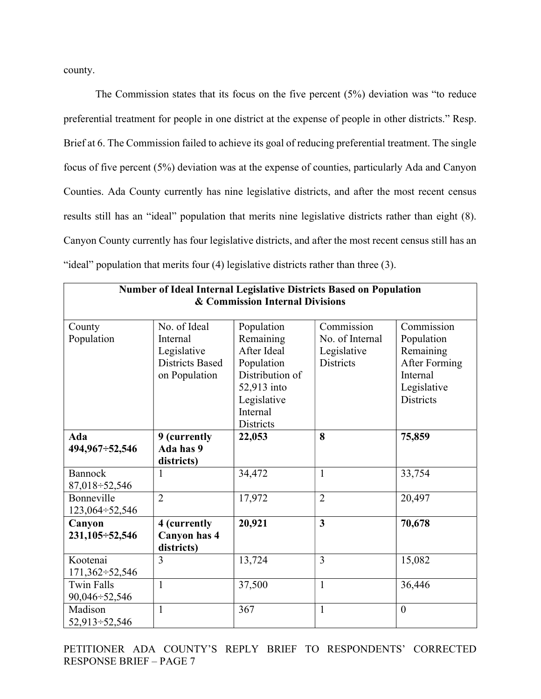county.

The Commission states that its focus on the five percent (5%) deviation was "to reduce preferential treatment for people in one district at the expense of people in other districts." Resp. Brief at 6. The Commission failed to achieve its goal of reducing preferential treatment. The single focus of five percent (5%) deviation was at the expense of counties, particularly Ada and Canyon Counties. Ada County currently has nine legislative districts, and after the most recent census results still has an "ideal" population that merits nine legislative districts rather than eight (8). Canyon County currently has four legislative districts, and after the most recent census still has an "ideal" population that merits four (4) legislative districts rather than three (3).

┑

| Number of Ideal Internal Legislative Districts Based on Population<br>& Commission Internal Divisions |                                                                                    |                                                                                                                                       |                                                                  |                                                                                                       |
|-------------------------------------------------------------------------------------------------------|------------------------------------------------------------------------------------|---------------------------------------------------------------------------------------------------------------------------------------|------------------------------------------------------------------|-------------------------------------------------------------------------------------------------------|
| County<br>Population                                                                                  | No. of Ideal<br>Internal<br>Legislative<br><b>Districts Based</b><br>on Population | Population<br>Remaining<br>After Ideal<br>Population<br>Distribution of<br>52,913 into<br>Legislative<br>Internal<br><b>Districts</b> | Commission<br>No. of Internal<br>Legislative<br><b>Districts</b> | Commission<br>Population<br>Remaining<br>After Forming<br>Internal<br>Legislative<br><b>Districts</b> |
| <b>Ada</b><br>494,967÷52,546                                                                          | 9 (currently<br>Ada has 9<br>districts)                                            | 22,053                                                                                                                                | 8                                                                | 75,859                                                                                                |
| <b>Bannock</b><br>87,018 ÷ 52,546                                                                     | 1                                                                                  | 34,472                                                                                                                                | $\mathbf{1}$                                                     | 33,754                                                                                                |
| Bonneville<br>$123,064 \div 52,546$                                                                   | $\overline{2}$                                                                     | 17,972                                                                                                                                | $\overline{2}$                                                   | 20,497                                                                                                |
| Canyon<br>$231,105 \div 52,546$                                                                       | 4 (currently<br>Canyon has 4<br>districts)                                         | 20,921                                                                                                                                | $\overline{\mathbf{3}}$                                          | 70,678                                                                                                |
| Kootenai<br>$171,362 \div 52,546$                                                                     | 3                                                                                  | 13,724                                                                                                                                | $\overline{3}$                                                   | 15,082                                                                                                |
| <b>Twin Falls</b><br>90,046 ÷ 52,546                                                                  | $\mathbf{1}$                                                                       | 37,500                                                                                                                                | $\mathbf{1}$                                                     | 36,446                                                                                                |
| Madison<br>52,913 - 52,546                                                                            | 1                                                                                  | 367                                                                                                                                   | $\mathbf{1}$                                                     | $\overline{0}$                                                                                        |

PETITIONER ADA COUNTY'S REPLY BRIEF TO RESPONDENTS' CORRECTED RESPONSE BRIEF – PAGE 7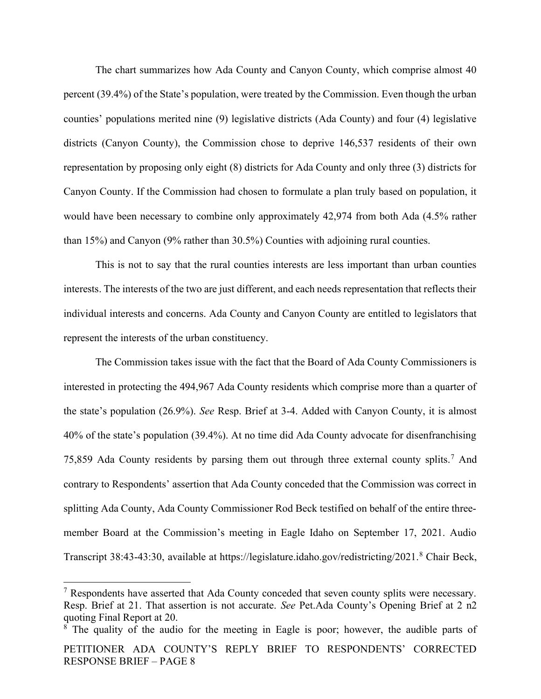The chart summarizes how Ada County and Canyon County, which comprise almost 40 percent (39.4%) of the State's population, were treated by the Commission. Even though the urban counties' populations merited nine (9) legislative districts (Ada County) and four (4) legislative districts (Canyon County), the Commission chose to deprive 146,537 residents of their own representation by proposing only eight (8) districts for Ada County and only three (3) districts for Canyon County. If the Commission had chosen to formulate a plan truly based on population, it would have been necessary to combine only approximately 42,974 from both Ada (4.5% rather than 15%) and Canyon (9% rather than 30.5%) Counties with adjoining rural counties.

This is not to say that the rural counties interests are less important than urban counties interests. The interests of the two are just different, and each needs representation that reflects their individual interests and concerns. Ada County and Canyon County are entitled to legislators that represent the interests of the urban constituency.

The Commission takes issue with the fact that the Board of Ada County Commissioners is interested in protecting the 494,967 Ada County residents which comprise more than a quarter of the state's population (26.9%). See Resp. Brief at 3-4. Added with Canyon County, it is almost 40% of the state's population (39.4%). At no time did Ada County advocate for disenfranchising 75,859 Ada County residents by parsing them out through three external county splits.<sup>7</sup> And contrary to Respondents' assertion that Ada County conceded that the Commission was correct in splitting Ada County, Ada County Commissioner Rod Beck testified on behalf of the entire threemember Board at the Commission's meeting in Eagle Idaho on September 17, 2021. Audio Transcript 38:43-43:30, available at https://legislature.idaho.gov/redistricting/2021.<sup>8</sup> Chair Beck,

PETITIONER ADA COUNTY'S REPLY BRIEF TO RESPONDENTS' CORRECTED RESPONSE BRIEF – PAGE 8 <sup>8</sup> The quality of the audio for the meeting in Eagle is poor; however, the audible parts of

<sup>&</sup>lt;sup>7</sup> Respondents have asserted that Ada County conceded that seven county splits were necessary. Resp. Brief at 21. That assertion is not accurate. See Pet.Ada County's Opening Brief at 2 n2 quoting Final Report at 20.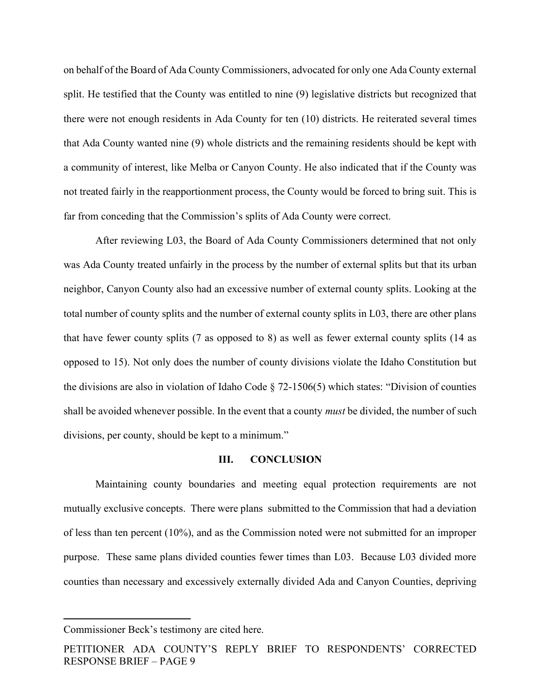on behalf of the Board of Ada County Commissioners, advocated for only one Ada County external split. He testified that the County was entitled to nine (9) legislative districts but recognized that there were not enough residents in Ada County for ten (10) districts. He reiterated several times that Ada County wanted nine (9) whole districts and the remaining residents should be kept with a community of interest, like Melba or Canyon County. He also indicated that if the County was not treated fairly in the reapportionment process, the County would be forced to bring suit. This is far from conceding that the Commission's splits of Ada County were correct.

After reviewing L03, the Board of Ada County Commissioners determined that not only was Ada County treated unfairly in the process by the number of external splits but that its urban neighbor, Canyon County also had an excessive number of external county splits. Looking at the total number of county splits and the number of external county splits in L03, there are other plans that have fewer county splits (7 as opposed to 8) as well as fewer external county splits (14 as opposed to 15). Not only does the number of county divisions violate the Idaho Constitution but the divisions are also in violation of Idaho Code  $\S$  72-1506(5) which states: "Division of counties shall be avoided whenever possible. In the event that a county *must* be divided, the number of such divisions, per county, should be kept to a minimum."

#### III. CONCLUSION

Maintaining county boundaries and meeting equal protection requirements are not mutually exclusive concepts. There were plans submitted to the Commission that had a deviation of less than ten percent (10%), and as the Commission noted were not submitted for an improper purpose. These same plans divided counties fewer times than L03. Because L03 divided more counties than necessary and excessively externally divided Ada and Canyon Counties, depriving

Commissioner Beck's testimony are cited here.

PETITIONER ADA COUNTY'S REPLY BRIEF TO RESPONDENTS' CORRECTED RESPONSE BRIEF – PAGE 9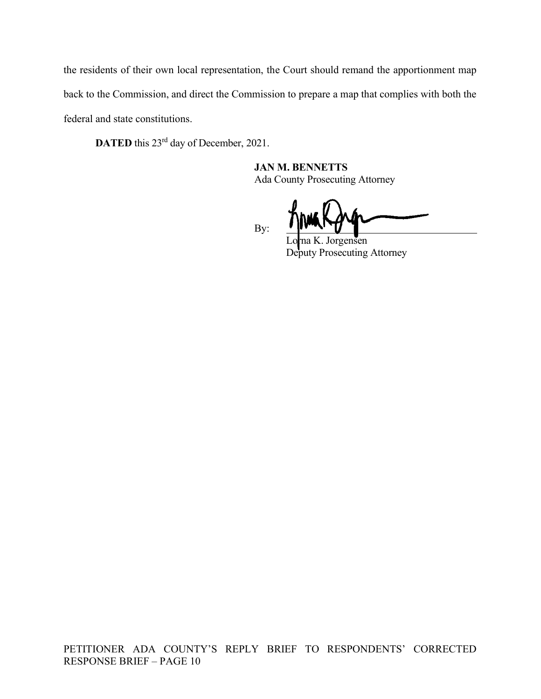the residents of their own local representation, the Court should remand the apportionment map back to the Commission, and direct the Commission to prepare a map that complies with both the federal and state constitutions.

DATED this 23<sup>rd</sup> day of December, 2021.

 JAN M. BENNETTS Ada County Prosecuting Attorney

By:

Jorgensen Deputy Prosecuting Attorney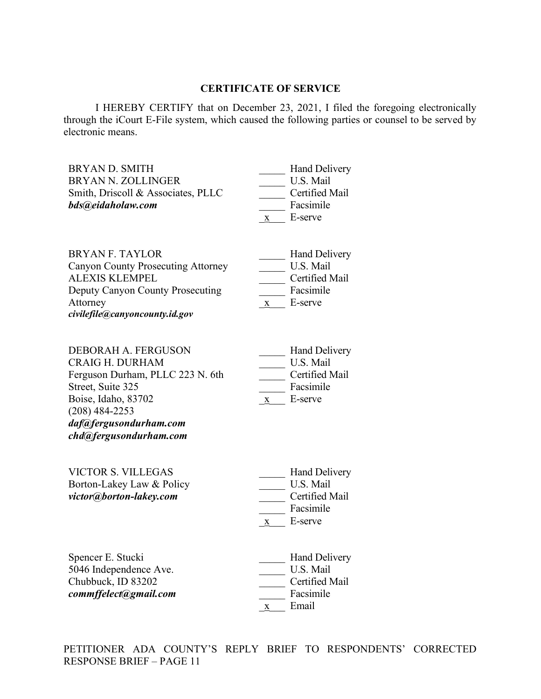### CERTIFICATE OF SERVICE

I HEREBY CERTIFY that on December 23, 2021, I filed the foregoing electronically through the iCourt E-File system, which caused the following parties or counsel to be served by electronic means.

| <b>BRYAN D. SMITH</b><br><b>BRYAN N. ZOLLINGER</b><br>Smith, Driscoll & Associates, PLLC                                                                                                                     | <b>Hand Delivery</b><br>U.S. Mail<br>Certified Mail                                         |
|--------------------------------------------------------------------------------------------------------------------------------------------------------------------------------------------------------------|---------------------------------------------------------------------------------------------|
| bds@eidaholaw.com                                                                                                                                                                                            | Facsimile<br>E-serve<br>$\mathbf{X}$                                                        |
| <b>BRYAN F. TAYLOR</b><br><b>Canyon County Prosecuting Attorney</b><br><b>ALEXIS KLEMPEL</b><br>Deputy Canyon County Prosecuting<br>Attorney<br>civilefile@canyoncounty.id.gov                               | <b>Hand Delivery</b><br>U.S. Mail<br>Certified Mail<br>Facsimile<br>x E-serve               |
| <b>DEBORAH A. FERGUSON</b><br><b>CRAIG H. DURHAM</b><br>Ferguson Durham, PLLC 223 N. 6th<br>Street, Suite 325<br>Boise, Idaho, 83702<br>$(208)$ 484-2253<br>daf@fergusondurham.com<br>chd@fergusondurham.com | Hand Delivery<br>U.S. Mail<br>Certified Mail<br>Facsimile<br>$\underline{x}$ E-serve        |
| <b>VICTOR S. VILLEGAS</b><br>Borton-Lakey Law & Policy<br>victor@borton-lakey.com                                                                                                                            | <b>Hand Delivery</b><br>U.S. Mail<br>Certified Mail<br>Facsimile<br>$\underline{x}$ E-serve |
| Spencer E. Stucki<br>5046 Independence Ave.<br>Chubbuck, ID 83202<br>commffelect@gmail.com                                                                                                                   | <b>Hand Delivery</b><br>U.S. Mail<br>Certified Mail<br>Facsimile<br>Email<br>$\mathbf X$    |

PETITIONER ADA COUNTY'S REPLY BRIEF TO RESPONDENTS' CORRECTED RESPONSE BRIEF – PAGE 11